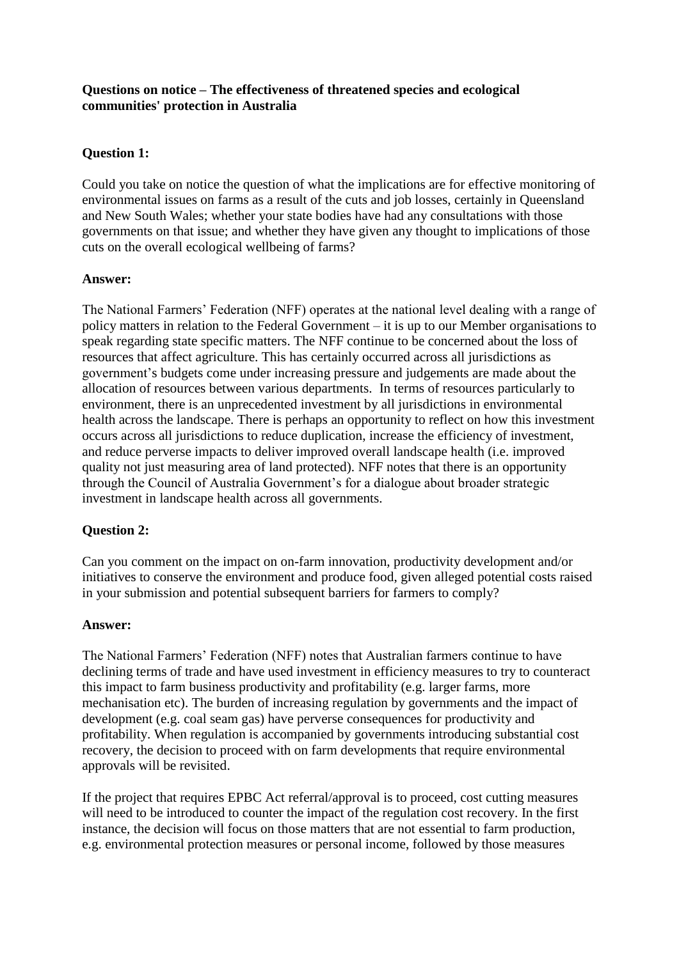## **Questions on notice – The effectiveness of threatened species and ecological communities' protection in Australia**

# **Question 1:**

Could you take on notice the question of what the implications are for effective monitoring of environmental issues on farms as a result of the cuts and job losses, certainly in Queensland and New South Wales; whether your state bodies have had any consultations with those governments on that issue; and whether they have given any thought to implications of those cuts on the overall ecological wellbeing of farms?

## **Answer:**

The National Farmers' Federation (NFF) operates at the national level dealing with a range of policy matters in relation to the Federal Government – it is up to our Member organisations to speak regarding state specific matters. The NFF continue to be concerned about the loss of resources that affect agriculture. This has certainly occurred across all jurisdictions as government's budgets come under increasing pressure and judgements are made about the allocation of resources between various departments. In terms of resources particularly to environment, there is an unprecedented investment by all jurisdictions in environmental health across the landscape. There is perhaps an opportunity to reflect on how this investment occurs across all jurisdictions to reduce duplication, increase the efficiency of investment, and reduce perverse impacts to deliver improved overall landscape health (i.e. improved quality not just measuring area of land protected). NFF notes that there is an opportunity through the Council of Australia Government's for a dialogue about broader strategic investment in landscape health across all governments.

## **Question 2:**

Can you comment on the impact on on-farm innovation, productivity development and/or initiatives to conserve the environment and produce food, given alleged potential costs raised in your submission and potential subsequent barriers for farmers to comply?

## **Answer:**

The National Farmers' Federation (NFF) notes that Australian farmers continue to have declining terms of trade and have used investment in efficiency measures to try to counteract this impact to farm business productivity and profitability (e.g. larger farms, more mechanisation etc). The burden of increasing regulation by governments and the impact of development (e.g. coal seam gas) have perverse consequences for productivity and profitability. When regulation is accompanied by governments introducing substantial cost recovery, the decision to proceed with on farm developments that require environmental approvals will be revisited.

If the project that requires EPBC Act referral/approval is to proceed, cost cutting measures will need to be introduced to counter the impact of the regulation cost recovery. In the first instance, the decision will focus on those matters that are not essential to farm production, e.g. environmental protection measures or personal income, followed by those measures